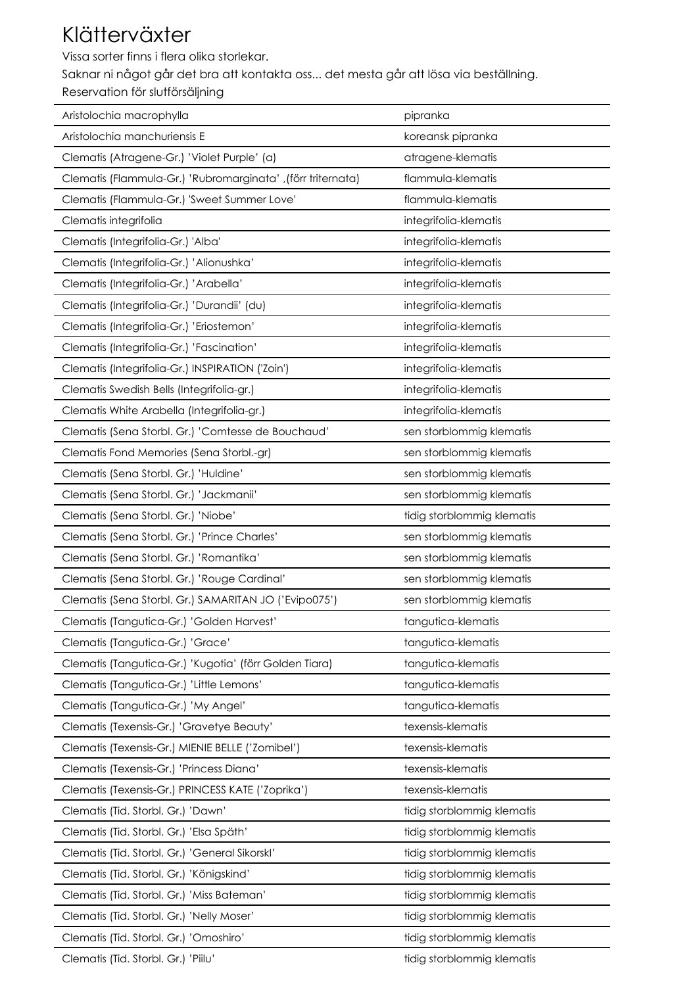## Klätterväxter

Vissa sorter finns i flera olika storlekar.

Saknar ni något går det bra att kontakta oss... det mesta går att lösa via beställning.

Reservation för slutförsäljning

| Aristolochia macrophylla                                    | pipranka                   |
|-------------------------------------------------------------|----------------------------|
| Aristolochia manchuriensis E                                | koreansk pipranka          |
| Clematis (Atragene-Gr.) 'Violet Purple' (a)                 | atragene-klematis          |
| Clematis (Flammula-Gr.) 'Rubromarginata' ,(förr triternata) | flammula-klematis          |
| Clematis (Flammula-Gr.) 'Sweet Summer Love'                 | flammula-klematis          |
| Clematis integrifolia                                       | integrifolia-klematis      |
| Clematis (Integrifolia-Gr.) 'Alba'                          | integrifolia-klematis      |
| Clematis (Integrifolia-Gr.) 'Alionushka'                    | integrifolia-klematis      |
| Clematis (Integrifolia-Gr.) 'Arabella'                      | integrifolia-klematis      |
| Clematis (Integrifolia-Gr.) 'Durandii' (du)                 | integrifolia-klematis      |
| Clematis (Integrifolia-Gr.) 'Eriostemon'                    | integrifolia-klematis      |
| Clematis (Integrifolia-Gr.) 'Fascination'                   | integrifolia-klematis      |
| Clematis (Integrifolia-Gr.) INSPIRATION ('Zoin')            | integrifolia-klematis      |
| Clematis Swedish Bells (Integrifolia-gr.)                   | integrifolia-klematis      |
| Clematis White Arabella (Integrifolia-gr.)                  | integrifolia-klematis      |
| Clematis (Sena Storbl. Gr.) 'Comtesse de Bouchaud'          | sen storblommig klematis   |
| Clematis Fond Memories (Sena Storbl.-gr)                    | sen storblommig klematis   |
| Clematis (Sena Storbl. Gr.) 'Huldine'                       | sen storblommig klematis   |
| Clematis (Sena Storbl. Gr.) 'Jackmanii'                     | sen storblommig klematis   |
| Clematis (Sena Storbl. Gr.) 'Niobe'                         | tidig storblommig klematis |
| Clematis (Sena Storbl. Gr.) 'Prince Charles'                | sen storblommig klematis   |
| Clematis (Sena Storbl. Gr.) 'Romantika'                     | sen storblommig klematis   |
| Clematis (Sena Storbl. Gr.) 'Rouge Cardinal'                | sen storblommig klematis   |
| Clematis (Sena Storbl. Gr.) SAMARITAN JO ('Evipo075')       | sen storblommig klematis   |
| Clematis (Tangutica-Gr.) 'Golden Harvest'                   | tangutica-klematis         |
| Clematis (Tangutica-Gr.) 'Grace'                            | tangutica-klematis         |
| Clematis (Tangutica-Gr.) 'Kugotia' (förr Golden Tiara)      | tangutica-klematis         |
| Clematis (Tangutica-Gr.) 'Little Lemons'                    | tangutica-klematis         |
| Clematis (Tangutica-Gr.) 'My Angel'                         | tangutica-klematis         |
| Clematis (Texensis-Gr.) 'Gravetye Beauty'                   | texensis-klematis          |
| Clematis (Texensis-Gr.) MIENIE BELLE ('Zomibel')            | texensis-klematis          |
| Clematis (Texensis-Gr.) 'Princess Diana'                    | texensis-klematis          |
| Clematis (Texensis-Gr.) PRINCESS KATE ('Zoprika')           | texensis-klematis          |
| Clematis (Tid. Storbl. Gr.) 'Dawn'                          | tidig storblommig klematis |
| Clematis (Tid. Storbl. Gr.) 'Elsa Späth'                    | tidig storblommig klematis |
| Clematis (Tid. Storbl. Gr.) 'General Sikorskl'              | tidig storblommig klematis |
| Clematis (Tid. Storbl. Gr.) 'Königskind'                    | tidig storblommig klematis |
| Clematis (Tid. Storbl. Gr.) 'Miss Bateman'                  | tidig storblommig klematis |
| Clematis (Tid. Storbl. Gr.) 'Nelly Moser'                   | tidig storblommig klematis |
| Clematis (Tid. Storbl. Gr.) 'Omoshiro'                      | tidig storblommig klematis |
| Clematis (Tid. Storbl. Gr.) 'Piilu'                         | tidig storblommig klematis |